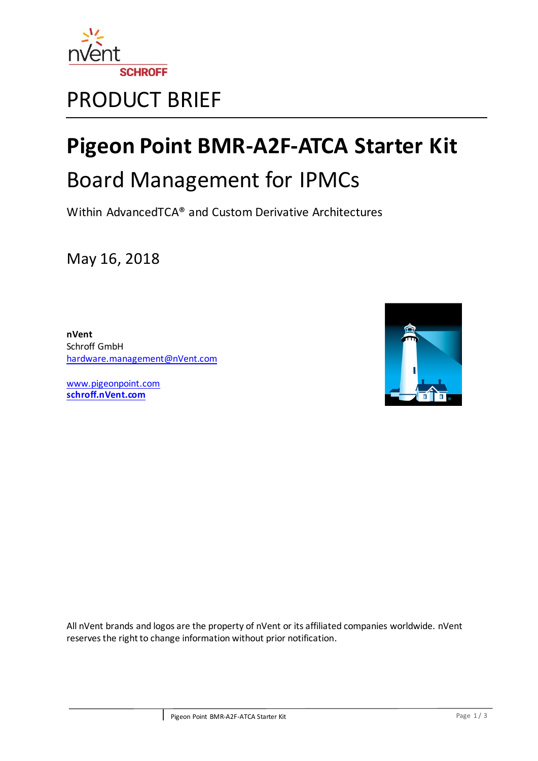

# PRODUCT BRIEF

# **Pigeon Point BMR-A2F-ATCA Starter Kit**

# Board Management for IPMCs

Within AdvancedTCA® and Custom Derivative Architectures

May 16, 2018

**nVent** Schroff GmbH [hardware.management@nVent.com](mailto:hardware.management@nVent.com)

[www.pigeonpoint.com](http://www.pigeonpoint.com/) **[schroff.nVent.com](https://schroff.nvent.com/)**



All nVent brands and logos are the property of nVent or its affiliated companies worldwide. nVent reserves the right to change information without prior notification.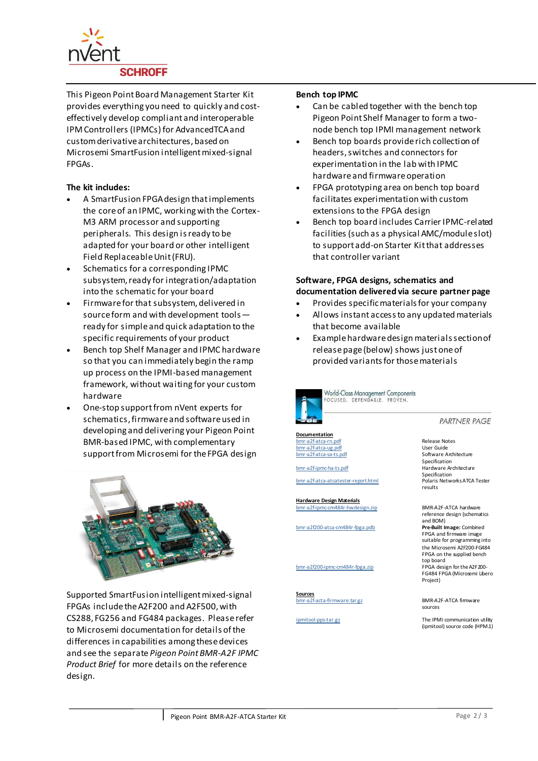

This Pigeon Point Board Management Starter Kit provides everything you need to quickly and costeffectively develop compliant and interoperable IPM Controllers (IPMCs) for AdvancedTCA and custom derivative architectures, based on Microsemi SmartFusion intelligent mixed-signal FPGAs.

# **The kit includes:**

- A SmartFusion FPGA design that implements the core of an IPMC, working with the Cortex-M3 ARM processor and supporting peripherals. This design is ready to be adapted for your board or other intelligent Field Replaceable Unit (FRU).
- Schematics for a corresponding IPMC subsystem, ready for integration/adaptation into the schematic for your board
- Firmware for that subsystem, delivered in source form and with development tools ready for simple and quick adaptation to the specific requirements of your product
- Bench top Shelf Manager and IPMC hardware so that you can immediately begin the ramp up process on the IPMI-based management framework, without waiting for your custom hardware
- One-stop support from nVent experts for schematics, firmware and software used in developing and delivering your Pigeon Point BMR-based IPMC, with complementary support from Microsemi for the FPGA design



Supported SmartFusion intelligent mixed-signal FPGAs include the A2F200 and A2F500, with CS288, FG256 and FG484 packages. Please refer to Microsemi documentation for details of the differences in capabilities among these devices and see the separate *Pigeon Point BMR-A2F IPMC Product Brief* for more details on the reference design.

#### **Bench top IPMC**

- Can be cabled together with the bench top Pigeon Point Shelf Manager to form a twonode bench top IPMI management network
- Bench top boards provide rich collection of headers, switches and connectors for experimentation in the lab with IPMC hardware and firmware operation
- FPGA prototyping area on bench top board facilitates experimentation with custom extensions to the FPGA design
- Bench top board includes Carrier IPMC-related facilities (such as a physical AMC/module slot) to support add-on Starter Kit that addresses that controller variant

# **Software, FPGA designs, schematics and documentation delivered via secure partner page**

- Provides specific materials for your company
- Allows instant access to any updated materials that become available
- Example hardware design materials section of release page (below) shows just one of provided variants for those materials



World-Class Management Components FOCUSED, DEPENDABLE, PROVEN

**Documentation** 

[bmr-a2f-atca-rn.pdf](http://www.montereylinux.com/partners/shmm/bmr-h8/1.3.1/doc/bmr-h8s-atca-sa-ts-1_3_1-20051208.pdf) Release Notes [bmr-a2f-atca-ug.pdf](http://www.montereylinux.com/partners/shmm/bmr-h8/1.3.1/doc/bmr-h8s-atca-ha-ts-1_3_1-20051208.pdf)

[bmr-a2f-ipmc-ha-ts.pdf](http://www.montereylinux.com/partners/shmm/bmr-h8/1.3.1/doc/bmr-h8s-atca-ha-ts-1_3_1-20051208.pdf)

bmr-a2f-atca-atcatester-report.html

**Hardware Design Materials** [bmr-a2f-ipmc-cm484r-hwdesign.zip](http://www.montereylinux.com/partners/shmm/bmr-h8/1.3.1/doc/bmr-h8s-atca-sa-ts-1_3_1-20051208.pdf) BMR-A2F-ATCA hardware

bmr-a2f200-atca-cm484r-fpga.pdb **Pre-Built Image:** Combined

**Sources**<br>›mr-a2f-acta-firmware.tar.gz

**PARTNER PAGE** 

body and the same state of the Software Architecture<br>a2f-atca-sa-ts.pdf Software Architecture Specification<br>Hardware Architecture Specification<br>Polaris Networks ATCA Tester results

reference design (schematics and BOM) FPGA and firmware image suitable for programming into the Microsemi A2F200-FG484 FPGA on the supplied bench top board bmr-a2f200-ipmc-cm484r-fpga.zip FPGA design for the A2F200- FG484 FPGA (Microsemi Libero Project)

> BMR-A2F-ATCA firmware. sources

[ipmitool-pps-tar.gz](http://www.montereylinux.com/partners/shmm/bmr-h8/1.3.1/doc/bmr-h8s-atca-sa-ts-1_3_1-20051208.pdf) The IPMI communication utility (ipmitool) source code (HPM.1)